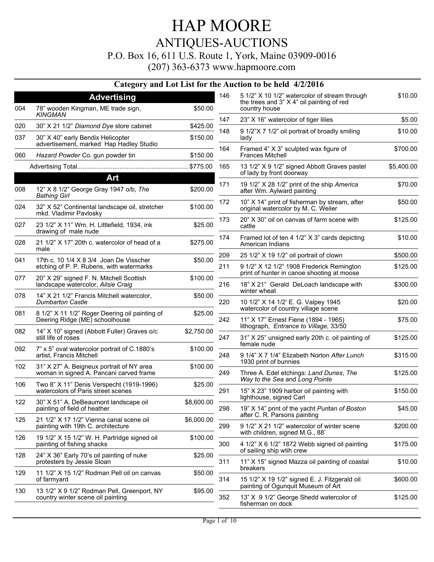P.O. Box 16, 611 U.S. Route 1, York, Maine 03909-0016

(207) 363-6373 www.hapmoore.com

|     |                                                                                  |            |     | Category and Lot List for the Auction to be held 4/2/2016                                                   |            |
|-----|----------------------------------------------------------------------------------|------------|-----|-------------------------------------------------------------------------------------------------------------|------------|
| 004 | <b>Advertising</b><br>78" wooden Kingman, ME trade sign,                         | \$50.00    | 146 | 5 1/2" X 10 1/2" watercolor of stream through<br>the trees and 3" X 4" oil painting of red<br>country house | \$10.00    |
|     | <b>KINGMAN</b>                                                                   |            | 147 | 23" X 16" watercolor of tiger lilies                                                                        | \$5.00     |
| 020 | 30" X 21 1/2" Diamond Dye store cabinet                                          | \$425.00   | 148 | 9 1/2"X 7 1/2" oil portrait of broadly smiling                                                              | \$10.00    |
| 037 | 30" X 40" early Bendix Helicopter<br>advertisement, marked Hap Hadley Studio     | \$150.00   |     | lady                                                                                                        |            |
| 060 | Hazard Powder Co. gun powder tin                                                 | \$150.00   | 164 | Framed 4" X 3" sculpted wax figure of<br><b>Frances Mitchell</b>                                            | \$700.00   |
|     |                                                                                  | \$775.00   | 165 | 13 1/2" X 9 1/2" signed Abbott Graves pastel                                                                | \$5,400.00 |
|     | Art                                                                              |            |     | of lady by front doorway                                                                                    |            |
| 008 | 12" X 8 1/2" George Gray 1947 o/b, The<br><b>Bathing Girl</b>                    | \$200.00   | 171 | 19 1/2" X 28 1/2" print of the ship America<br>after Wm. Aylward painting                                   | \$70.00    |
| 024 | 32" X 52" Continental landscape oil, stretcher<br>mkd. Vladimir Pavlosky         | \$100.00   | 172 | 10" X 14" print of fisherman by stream, after<br>original watercolor by M. C. Weiler                        | \$50.00    |
| 027 | 23 1/2" X 11" Wm. H. Littlefield, 1934, ink<br>drawing of male nude              | \$25.00    | 173 | 20" X 30" oil on canvas of farm scene with<br>cattle                                                        | \$125.00   |
| 028 | 21 1/2" X 17" 20th c. watercolor of head of a<br>male                            | \$275.00   | 174 | Framed lot of ten 4 1/2" X 3" cards depicting<br>American Indians                                           | \$10.00    |
| 041 | 17th c. 10 1/4 X 8 3/4 Joan De Visscher                                          | \$50.00    | 209 | 25 1/2" X 19 1/2" oil portrait of clown                                                                     | \$500.00   |
|     | etching of P. P. Rubens, with watermarks                                         |            | 211 | 9 1/2" X 12 1/2" 1908 Frederick Remington<br>print of hunter in canoe shooting at moose                     | \$125.00   |
| 077 | 20" X 29" signed F. N. Mitchell Scottish<br>landscape watercolor, Ailsie Craig   | \$100.00   | 216 | 18" X 21" Gerald DeLoach landscape with<br>winter wheat                                                     | \$300.00   |
| 078 | 14" X 21 1/2" Francis Mitchell watercolor,<br><b>Dumbarton Castle</b>            | \$50.00    | 220 | 10 1/2" X 14 1/2" E. G. Valpey 1945<br>watercolor of country village scene                                  | \$20.00    |
| 081 | 8 1/2" X 11 1/2" Roger Deering oil painting of<br>Deering Ridge (ME) schoolhouse | \$25.00    | 242 | 11" X 17" Ernest Fiene (1894 - 1965)                                                                        | \$75.00    |
| 082 | 14" X 10" signed (Abbott Fuller) Graves o/c<br>still life of roses               | \$2,750.00 | 247 | lithograph, Entrance to Village, 33/50<br>31" X 25" unsigned early 20th c. oil painting of                  | \$125.00   |
| 092 | 7" x 5" oval watercolor portrait of C.1880's                                     | \$100.00   |     | female nude                                                                                                 |            |
| 102 | artist, Francis Mitchell<br>31" X 27" A. Beigneux portrait of NY area            | \$100.00   | 248 | 9 1/4" X 7 1/4" Elizabeth Norton After Lunch<br>1930 print of bunnies                                       | \$315.00   |
|     | woman in signed A. Pancani carved frame                                          |            | 249 | Three A. Edel etchings: Land Dunes, The<br>Way to the Sea and Long Pointe                                   | \$125.00   |
| 106 | Two 8" X 11" Denis Verspecht (1919-1996)<br>watercolors of Paris street scenes   | \$25.00    | 291 | 15" X 23" 1909 harbor oil painting with<br>lighthouse, signed Carl                                          | \$150.00   |
| 122 | 30" X 51" A. DeBeaumont landscape oil<br>painting of field of heather            | \$8,600.00 | 298 | 19" X 14" print of the yacht Puritan of Boston<br>after C. R. Parsons painting                              | \$45.00    |
| 125 | 21 1/2" X 17 1/2" Vienna canal scene oil<br>painting with 19th C. architecture   | \$6,000.00 | 299 | 9 1/2" X 21 1/2" watercolor of winter scene                                                                 | \$200.00   |
| 126 | 19 1/2" X 15 1/2" W. H. Partridge signed oil<br>painting of fishing shacks       | \$100.00   | 300 | with children, signed M.G., 88'<br>4 1/2" X 6 1/2" 1872 Webb signed oil painting                            | \$175.00   |
| 128 | 24" X 36" Early 70's oil painting of nuke<br>protesters by Jessie Sloan          | \$25.00    | 311 | of sailing ship wtih crew<br>11" X 15" signed Mazza oil painting of coastal                                 | \$10.00    |
| 129 | 11 1/2" X 15 1/2" Rodman Pell oil on canvas                                      | \$50.00    |     | breakers                                                                                                    |            |
| 130 | of farmyard<br>13 1/2" X 9 1/2" Rodman Pell, Greenport, NY                       | \$95.00    | 314 | 15 1/2" X 19 1/2" signed E. J. Fitzgerald oil<br>painting of Ogunquit Museum of Art                         | \$600.00   |
|     | country winter scene oil painting                                                |            | 352 | 13" X 9 1/2" George Shedd watercolor of<br>fisherman on dock                                                | \$125.00   |
|     |                                                                                  |            |     |                                                                                                             |            |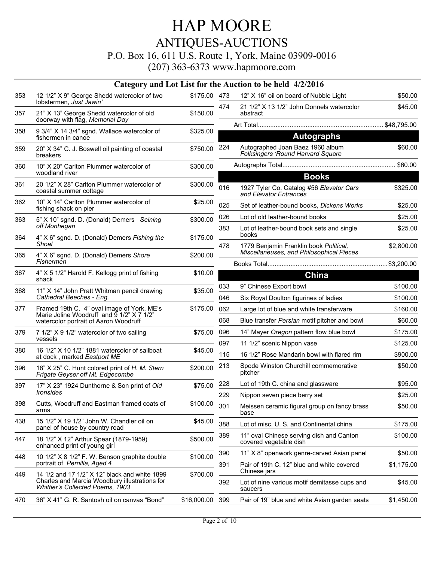### P.O. Box 16, 611 U.S. Route 1, York, Maine 03909-0016

|     | Category and Lot List for the Auction to be held 4/2/2016                                                                          |              |     |                                                                                    |            |  |  |  |
|-----|------------------------------------------------------------------------------------------------------------------------------------|--------------|-----|------------------------------------------------------------------------------------|------------|--|--|--|
| 353 | 12 1/2" X 9" George Shedd watercolor of two                                                                                        | \$175.00 473 |     | 12" X 16" oil on board of Nubble Light                                             | \$50.00    |  |  |  |
| 357 | lobstermen, Just Jawin'<br>21" X 13" George Shedd watercolor of old<br>doorway with flag, Memorial Day                             | \$150.00     | 474 | 21 1/2" X 13 1/2" John Donnels watercolor<br>abstract                              | \$45.00    |  |  |  |
| 358 | 9 3/4" X 14 3/4" sgnd. Wallace watercolor of                                                                                       | \$325.00     |     |                                                                                    |            |  |  |  |
|     | fishermen in canoe                                                                                                                 |              |     | <b>Autographs</b>                                                                  |            |  |  |  |
| 359 | 20" X 34" C. J. Boswell oil painting of coastal<br>breakers                                                                        | \$750.00     | 224 | Autographed Joan Baez 1960 album<br><b>Folksingers 'Round Harvard Square</b>       | \$60.00    |  |  |  |
| 360 | 10" X 20" Carlton Plummer watercolor of<br>woodland river                                                                          | \$300.00     |     |                                                                                    |            |  |  |  |
| 361 | 20 1/2" X 28" Carlton Plummer watercolor of<br>coastal summer cottage                                                              | \$300.00     | 016 | <b>Books</b><br>1927 Tyler Co. Catalog #56 Elevator Cars<br>and Elevator Entrances | \$325.00   |  |  |  |
| 362 | 10" X 14" Carlton Plummer watercolor of<br>fishing shack on pier                                                                   | \$25.00      | 025 | Set of leather-bound books, Dickens Works                                          | \$25.00    |  |  |  |
| 363 | 5" X 10" sgnd. D. (Donald) Demers Seining                                                                                          | \$300.00     | 026 | Lot of old leather-bound books                                                     | \$25.00    |  |  |  |
|     | off Monhegan                                                                                                                       |              | 383 | Lot of leather-bound book sets and single<br>books                                 | \$25.00    |  |  |  |
| 364 | 4" X 6" sgnd. D. (Donald) Demers Fishing the<br>Shoal                                                                              | \$175.00     | 478 | 1779 Benjamin Franklin book Political,<br>Miscellaneuses, and Philosophical Pieces | \$2,800.00 |  |  |  |
| 365 | 4" X 6" sgnd. D. (Donald) Demers Shore<br>Fishermen                                                                                | \$200.00     |     |                                                                                    |            |  |  |  |
| 367 | 4" X 5 1/2" Harold F. Kellogg print of fishing                                                                                     | \$10.00      |     | China                                                                              |            |  |  |  |
| 368 | shack<br>11" X 14" John Pratt Whitman pencil drawing                                                                               | \$35.00      | 033 | 9" Chinese Export bowl                                                             | \$100.00   |  |  |  |
|     | Cathedral Beeches - Eng.                                                                                                           |              | 046 | Six Royal Doulton figurines of ladies                                              | \$100.00   |  |  |  |
| 377 | Framed 19th C. 4" oval image of York, ME's<br>Marie Joline Woodruff and 9 1/2" X 7 1/2"<br>watercolor portrait of Aaron Woodruff   | \$175.00     | 062 | Large lot of blue and white transferware                                           | \$160.00   |  |  |  |
|     |                                                                                                                                    |              | 068 | Blue transfer Persian motif pitcher and bowl                                       | \$60.00    |  |  |  |
| 379 | 7 1/2" X 9 1/2" watercolor of two sailing                                                                                          | \$75.00      | 096 | 14" Mayer Oregon pattern flow blue bowl                                            | \$175.00   |  |  |  |
|     | vessels                                                                                                                            |              | 097 | 11 1/2" scenic Nippon vase                                                         | \$125.00   |  |  |  |
| 380 | 16 1/2" X 10 1/2" 1881 watercolor of sailboat<br>at dock, marked Eastport ME                                                       | \$45.00      | 115 | 16 1/2" Rose Mandarin bowl with flared rim                                         | \$900.00   |  |  |  |
| 396 | 18" X 25" C. Hunt colored print of H. M. Stern<br>Frigate Geyser off Mt. Edgecombe                                                 | \$200.00     | 213 | Spode Winston Churchill commemorative<br>pitcher                                   | \$50.00    |  |  |  |
| 397 | 17" X 23" 1924 Dunthorne & Son print of Old                                                                                        | \$75.00      | 228 | Lot of 19th C. china and glassware                                                 | \$95.00    |  |  |  |
|     | <i><u><b>Ironsides</b></u></i>                                                                                                     |              | 229 | Nippon seven piece berry set                                                       | \$25.00    |  |  |  |
| 398 | Cutts, Woodruff and Eastman framed coats of<br>arms                                                                                | \$100.00     | 301 | Meissen ceramic figural group on fancy brass<br>base                               | \$50.00    |  |  |  |
| 438 | 15 1/2" X 19 1/2" John W. Chandler oil on<br>panel of house by country road                                                        | \$45.00      | 388 | Lot of misc. U. S. and Continental china                                           | \$175.00   |  |  |  |
| 447 | 18 1/2" X 12" Arthur Spear (1879-1959)<br>enhanced print of young girl                                                             | \$500.00     | 389 | 11" oval Chinese serving dish and Canton<br>covered vegetable dish                 | \$100.00   |  |  |  |
| 448 | 10 1/2" X 8 1/2" F. W. Benson graphite double                                                                                      | \$100.00     | 390 | 11" X 8" openwork genre-carved Asian panel                                         | \$50.00    |  |  |  |
|     | portrait of Pernilla, Aged 4                                                                                                       |              | 391 | Pair of 19th C. 12" blue and white covered<br>Chinese jars                         | \$1,175.00 |  |  |  |
| 449 | 14 1/2 and 17 1/2" X 12" black and white 1899<br>Charles and Marcia Woodbury illustrations for<br>Whittier's Collected Poems, 1903 | \$700.00     | 392 | Lot of nine various motif demitasse cups and<br>saucers                            | \$45.00    |  |  |  |
| 470 | 36" X 41" G. R. Santosh oil on canvas "Bond"                                                                                       | \$16,000.00  | 399 | Pair of 19" blue and white Asian garden seats                                      | \$1,450.00 |  |  |  |
|     |                                                                                                                                    |              |     |                                                                                    |            |  |  |  |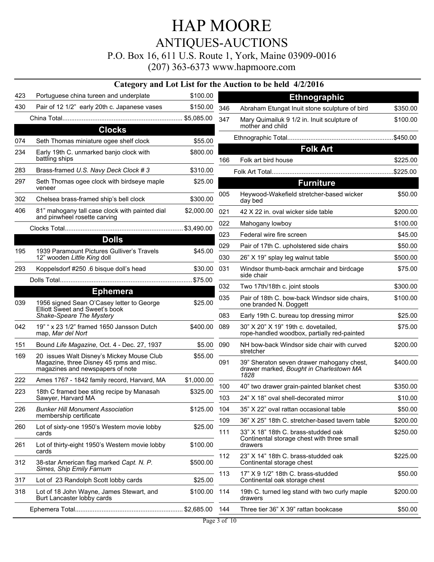### HAP MOORE ANTIQUES-AUCTIONS P.O. Box 16, 611 U.S. Route 1, York, Maine 03909-0016

|                 |                                                                                                                           |            |                                               | Category and Lot List for the Auction to be held 4/2/2016                            |                     |
|-----------------|---------------------------------------------------------------------------------------------------------------------------|------------|-----------------------------------------------|--------------------------------------------------------------------------------------|---------------------|
| 423             | Portuguese china tureen and underplate                                                                                    | \$100.00   |                                               | <b>Ethnographic</b>                                                                  |                     |
| 430             | Pair of 12 1/2" early 20th c. Japanese vases                                                                              | \$150.00   | 346                                           | Abraham Etungat Inuit stone sculpture of bird                                        | \$350.00            |
|                 |                                                                                                                           |            | 347                                           | Mary Quimailuk 9 1/2 in. Inuit sculpture of<br>mother and child                      | \$100.00            |
|                 | <b>Clocks</b>                                                                                                             |            |                                               |                                                                                      |                     |
| 074             | Seth Thomas miniature ogee shelf clock                                                                                    | \$55.00    |                                               |                                                                                      |                     |
| 234             | Early 19th C. unmarked banjo clock with<br>battling ships                                                                 | \$800.00   | 166                                           | <b>Folk Art</b><br>Folk art bird house                                               | \$225.00            |
| 283             | Brass-framed U.S. Navy Deck Clock #3                                                                                      | \$310.00   |                                               |                                                                                      | .\$225.00           |
| 297             | Seth Thomas ogee clock with birdseye maple                                                                                | \$25.00    |                                               | <b>Furniture</b>                                                                     |                     |
| 302             | veneer<br>Chelsea brass-framed ship's bell clock                                                                          | \$300.00   | 005                                           | Heywood-Wakefield stretcher-based wicker<br>day bed                                  | \$50.00             |
| 406             | 81" mahogany tall case clock with painted dial                                                                            | \$2,000.00 | 021                                           | 42 X 22 in. oval wicker side table                                                   | \$200.00            |
|                 | and pinwheel rosette carving                                                                                              |            | 022                                           | Mahogany lowboy                                                                      | \$100.00            |
|                 |                                                                                                                           |            | 023                                           | Federal wire fire screen                                                             | \$45.00             |
|                 | <b>Dolls</b>                                                                                                              |            | 029                                           | Pair of 17th C. upholstered side chairs                                              | \$50.00             |
| 195             | 1939 Paramount Pictures Gulliver's Travels<br>12" wooden Little King doll                                                 | \$45.00    | 030                                           | 26" X 19" splay leg walnut table                                                     | \$500.00            |
| 293             | Koppelsdorf #250 .6 bisque doll's head                                                                                    | \$30.00    | 031                                           | Windsor thumb-back armchair and birdcage<br>side chair                               | \$75.00             |
|                 |                                                                                                                           |            | 032                                           | Two 17th/18th c. joint stools                                                        | \$300.00            |
| <b>Ephemera</b> |                                                                                                                           | 035        | Pair of 18th C. bow-back Windsor side chairs, | \$100.00                                                                             |                     |
| 039             | 1956 signed Sean O'Casey letter to George<br>Elliott Sweet and Sweet's book                                               | \$25.00    |                                               | one branded N. Doggett                                                               |                     |
|                 | Shake-Speare The Mystery                                                                                                  |            | 083                                           | Early 19th C. bureau top dressing mirror                                             | \$25.00             |
| 042             | 19" " x 23 1/2" framed 1650 Jansson Dutch<br>map, Mar del Nort                                                            | \$400.00   | 089                                           | 30" X 20" X 19" 19th c. dovetailed,<br>rope-handled woodbox, partially red-painted   | \$75.00             |
| 151             | Bound Life Magazine, Oct. 4 - Dec. 27, 1937                                                                               | \$5.00     | 090                                           | NH bow-back Windsor side chair with curved<br>stretcher                              | \$200.00            |
| 169             | 20 issues Walt Disney's Mickey Mouse Club<br>Magazine, three Disney 45 rpms and misc.<br>magazines and newspapers of note | \$55.00    | 091                                           | 39" Sheraton seven drawer mahogany chest,<br>drawer marked, Bought in Charlestown MA | \$400.00            |
| 222             | Ames 1767 - 1842 family record, Harvard, MA                                                                               | \$1,000.00 |                                               | 1828                                                                                 |                     |
| 223             | 18th C framed bee sting recipe by Manasah<br>Sawyer, Harvard MA                                                           | \$325.00   | 100<br>103                                    | 40" two drawer grain-painted blanket chest<br>24" X 18" oval shell-decorated mirror  | \$350.00<br>\$10.00 |
| 226             | <b>Bunker Hill Monument Association</b>                                                                                   | \$125.00   | 104                                           | 35" X 22" oval rattan occasional table                                               | \$50.00             |
|                 | membership certificate                                                                                                    |            | 109                                           | 36" X 25" 18th C. stretcher-based tavern table                                       | \$200.00            |
| 260             | Lot of sixty-one 1950's Western movie lobby<br>cards                                                                      | \$25.00    | 111                                           | 33" X 18" 18th C. brass-studded oak<br>Continental storage chest with three small    | \$250.00            |
| 261             | Lot of thirty-eight 1950's Western movie lobby<br>cards                                                                   | \$100.00   |                                               | drawers                                                                              |                     |
| 312             | 38-star American flag marked Capt. N. P.<br>Simes, Ship Emily Farnum                                                      | \$500.00   | 112                                           | 23" X 14" 18th C. brass-studded oak<br>Continental storage chest                     | \$225.00            |
| 317             | Lot of 23 Randolph Scott lobby cards                                                                                      | \$25.00    | 113                                           | 17" X 9 1/2" 18th C. brass-studded<br>Continental oak storage chest                  | \$50.00             |
| 318             | Lot of 18 John Wayne, James Stewart, and<br>Burt Lancaster lobby cards                                                    | \$100.00   | 114                                           | 19th C. turned leg stand with two curly maple<br>drawers                             | \$200.00            |
|                 |                                                                                                                           |            | 144                                           | Three tier 36" X 39" rattan bookcase                                                 | \$50.00             |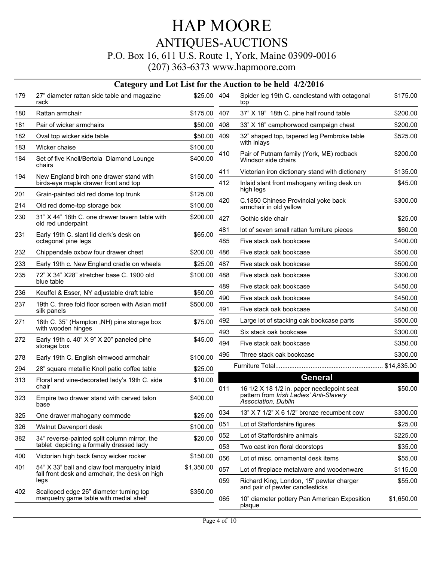### P.O. Box 16, 611 U.S. Route 1, York, Maine 03909-0016

|     | Category and Lot List for the Auction to be held 4/2/2016                                |             |            |                                                                                                |                      |  |  |  |
|-----|------------------------------------------------------------------------------------------|-------------|------------|------------------------------------------------------------------------------------------------|----------------------|--|--|--|
| 179 | 27" diameter rattan side table and magazine<br>rack                                      | \$25.00 404 |            | Spider leg 19th C. candlestand with octagonal<br>top                                           | \$175.00             |  |  |  |
| 180 | Rattan armchair                                                                          | \$175.00    | 407        | 37" X 19" 18th C. pine half round table                                                        | \$200.00             |  |  |  |
| 181 | Pair of wicker armchairs                                                                 | \$50.00     | 408        | 33" X 16" camphorwood campaign chest                                                           | \$200.00             |  |  |  |
| 182 | Oval top wicker side table                                                               | \$50.00     | 409        | 32" shaped top, tapered leg Pembroke table<br>with inlays                                      | \$525.00             |  |  |  |
| 183 | Wicker chaise                                                                            | \$100.00    | 410        | Pair of Putnam family (York, ME) rodback                                                       | \$200.00             |  |  |  |
| 184 | Set of five Knoll/Bertoia Diamond Lounge<br>chairs                                       | \$400.00    |            | Windsor side chairs                                                                            |                      |  |  |  |
| 194 | New England birch one drawer stand with<br>birds-eye maple drawer front and top          | \$150.00    | 411<br>412 | Victorian iron dictionary stand with dictionary<br>Inlaid slant front mahogany writing desk on | \$135.00<br>\$45.00  |  |  |  |
| 201 | Grain-painted old red dome top trunk                                                     | \$125.00    |            | high legs                                                                                      |                      |  |  |  |
| 214 | Old red dome-top storage box                                                             | \$100.00    | 420        | C.1850 Chinese Provincial yoke back<br>armchair in old yellow                                  | \$300.00             |  |  |  |
| 230 | 31" X 44" 18th C. one drawer tavern table with<br>old red underpaint                     | \$200.00    | 427        | Gothic side chair                                                                              | \$25.00              |  |  |  |
| 231 | Early 19th C. slant lid clerk's desk on                                                  | \$65.00     | 481        | lot of seven small rattan furniture pieces                                                     | \$60.00              |  |  |  |
|     | octagonal pine legs                                                                      |             | 485        | Five stack oak bookcase                                                                        | \$400.00             |  |  |  |
| 232 | Chippendale oxbow four drawer chest                                                      | \$200.00    | 486        | Five stack oak bookcase                                                                        | \$500.00             |  |  |  |
| 233 | Early 19th c. New England cradle on wheels                                               | \$25.00     | 487        | Five stack oak bookcase                                                                        | \$500.00             |  |  |  |
| 235 | 72" X 34" X28" stretcher base C. 1900 old<br>blue table                                  | \$100.00    | 488        | Five stack oak bookcase                                                                        | \$300.00             |  |  |  |
| 236 | Keuffel & Esser, NY adjustable draft table                                               | \$50.00     | 489        | Five stack oak bookcase                                                                        | \$450.00             |  |  |  |
| 237 | 19th C. three fold floor screen with Asian motif                                         | \$500.00    | 490        | Five stack oak bookcase                                                                        | \$450.00             |  |  |  |
|     | silk panels                                                                              |             | 491        | Five stack oak bookcase                                                                        | \$450.00             |  |  |  |
| 271 | 18th C. 35" (Hampton, NH) pine storage box<br>with wooden hinges                         | \$75.00     | 492<br>493 | Large lot of stacking oak bookcase parts<br>Six stack oak bookcase                             | \$500.00<br>\$300.00 |  |  |  |
| 272 | Early 19th c. 40" X 9" X 20" paneled pine<br>storage box                                 | \$45.00     | 494        | Five stack oak bookcase                                                                        | \$350.00             |  |  |  |
| 278 | Early 19th C. English elmwood armchair                                                   | \$100.00    | 495        | Three stack oak bookcase                                                                       | \$300.00             |  |  |  |
| 294 | 28" square metallic Knoll patio coffee table                                             | \$25.00     |            |                                                                                                |                      |  |  |  |
| 313 | Floral and vine-decorated lady's 19th C. side                                            | \$10.00     |            | <b>General</b>                                                                                 |                      |  |  |  |
|     | chair                                                                                    |             | 011        | 16 1/2 X 18 1/2 in. paper needlepoint seat<br>pattern from Irish Ladies' Anti-Slavery          | \$50.00              |  |  |  |
| 323 | Empire two drawer stand with carved talon<br>base                                        | \$400.00    |            | Association, Dublin                                                                            |                      |  |  |  |
| 325 | One drawer mahogany commode                                                              | \$25.00     | 034        | 13" X 7 1/2" X 6 1/2" bronze recumbent cow                                                     | \$300.00             |  |  |  |
| 326 | Walnut Davenport desk                                                                    | \$100.00    | 051        | Lot of Staffordshire figures                                                                   | \$25.00              |  |  |  |
| 382 | 34" reverse-painted split column mirror, the<br>tablet depicting a formally dressed lady | \$20.00     | 052<br>053 | Lot of Staffordshire animals                                                                   | \$225.00<br>\$35.00  |  |  |  |
| 400 | Victorian high back fancy wicker rocker                                                  | \$150.00    | 056        | Two cast iron floral doorstops<br>Lot of misc. ornamental desk items                           |                      |  |  |  |
| 401 | 54" X 33" ball and claw foot marquetry inlaid                                            | \$1,350.00  | 057        | Lot of fireplace metalware and woodenware                                                      | \$55.00<br>\$115.00  |  |  |  |
|     | fall front desk and armchair, the desk on high<br>legs                                   |             | 059        | Richard King, London, 15" pewter charger                                                       | \$55.00              |  |  |  |
| 402 | Scalloped edge 26" diameter turning top                                                  | \$350.00    |            | and pair of pewter candlesticks                                                                |                      |  |  |  |
|     | marquetry game table with medial shelf                                                   |             | 065        | 10" diameter pottery Pan American Exposition<br>plaque                                         | \$1,650.00           |  |  |  |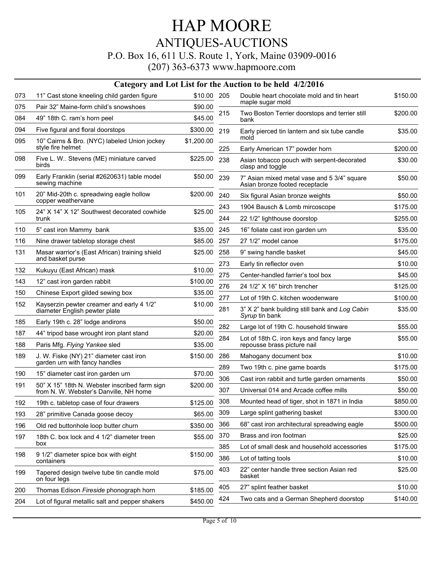#### P.O. Box 16, 611 U.S. Route 1, York, Maine 03909-0016

|     | Category and Lot List for the Auction to be held 4/2/2016                  |            |     |                                                                               |          |  |  |
|-----|----------------------------------------------------------------------------|------------|-----|-------------------------------------------------------------------------------|----------|--|--|
| 073 | 11" Cast stone kneeling child garden figure                                | \$10.00    | 205 | Double heart chocolate mold and tin heart                                     | \$150.00 |  |  |
| 075 | Pair 32" Maine-form child's snowshoes                                      | \$90.00    |     | maple sugar mold                                                              |          |  |  |
| 084 | 49" 18th C. ram's horn peel                                                | \$45.00    | 215 | Two Boston Terrier doorstops and terrier still<br>bank                        | \$200.00 |  |  |
| 094 | Five figural and floral doorstops                                          | \$300.00   | 219 | Early pierced tin lantern and six tube candle                                 | \$35.00  |  |  |
| 095 | 10" Cairns & Bro. (NYC) labeled Union jockey                               | \$1,200.00 |     | mold                                                                          |          |  |  |
|     | style fire helmet                                                          |            | 225 | Early American 17" powder horn                                                | \$200.00 |  |  |
| 098 | Five L. W Stevens (ME) miniature carved<br>birds                           | \$225.00   | 238 | Asian tobacco pouch with serpent-decorated<br>clasp and toggle                | \$30.00  |  |  |
| 099 | Early Franklin (serial #2620631) table model<br>sewing machine             | \$50.00    | 239 | 7" Asian mixed metal vase and 5 3/4" square<br>Asian bronze footed receptacle | \$50.00  |  |  |
| 101 | 20" Mid-20th c. spreadwing eagle hollow<br>copper weathervane              | \$200.00   | 240 | Six figural Asian bronze weights                                              | \$50.00  |  |  |
| 105 | 24" X 14" X 12" Southwest decorated cowhide                                | \$25.00    | 243 | 1904 Bausch & Lomb mircoscope                                                 | \$175.00 |  |  |
|     | trunk                                                                      |            | 244 | 22 1/2" lighthouse doorstop                                                   | \$255.00 |  |  |
| 110 | 5" cast iron Mammy bank                                                    | \$35.00    | 245 | 16" foliate cast iron garden urn                                              | \$35.00  |  |  |
| 116 | Nine drawer tabletop storage chest                                         | \$85.00    | 257 | 27 1/2" model canoe                                                           | \$175.00 |  |  |
| 131 | Masar warrior's (East African) training shield                             | \$25.00    | 258 | 9" swing handle basket                                                        | \$45.00  |  |  |
|     | and basket purse                                                           |            | 273 | Early tin reflector oven                                                      | \$10.00  |  |  |
| 132 | Kukuyu (East African) mask                                                 | \$10.00    | 275 | Center-handled farrier's tool box                                             | \$45.00  |  |  |
| 143 | 12" cast iron garden rabbit                                                | \$100.00   | 276 | 24 1/2" X 16" birch trencher                                                  | \$125.00 |  |  |
| 150 | Chinese Export gilded sewing box                                           | \$35.00    | 277 | Lot of 19th C. kitchen woodenware                                             | \$100.00 |  |  |
| 152 | Kayserzin pewter creamer and early 4 1/2"<br>diameter English pewter plate | \$10.00    | 281 | 3" X 2" bank building still bank and Log Cabin<br>Syrup tin bank              | \$35.00  |  |  |
| 185 | Early 19th c. 28" lodge andirons                                           | \$50.00    | 282 | Large lot of 19th C. household tinware                                        | \$55.00  |  |  |
| 187 | 44" tripod base wrought iron plant stand                                   | \$20.00    | 284 | Lot of 18th C. iron keys and fancy large                                      | \$55.00  |  |  |
| 188 | Paris Mfg. Flying Yankee sled                                              | \$35.00    |     | repousse brass picture nail                                                   |          |  |  |
| 189 | J. W. Fiske (NY) 21" diameter cast iron<br>garden urn with fancy handles   | \$150.00   | 286 | Mahogany document box                                                         | \$10.00  |  |  |
| 190 | 15" diameter cast iron garden urn                                          | \$70.00    | 289 | Two 19th c. pine game boards                                                  | \$175.00 |  |  |
| 191 | 50" X 15" 18th N. Webster inscribed farm sign                              | \$200.00   | 306 | Cast iron rabbit and turtle garden ornaments                                  | \$50.00  |  |  |
|     | from N. W. Webster's Danville, NH home                                     |            | 307 | Universal 014 and Arcade coffee mills                                         | \$50.00  |  |  |
| 192 | 19th c. tabletop case of four drawers                                      | \$125.00   | 308 | Mounted head of tiger, shot in 1871 in India                                  | \$850.00 |  |  |
| 193 | 28" primitive Canada goose decoy                                           | \$65.00    | 309 | Large splint gathering basket                                                 | \$300.00 |  |  |
| 196 | Old red buttonhole loop butter churn                                       | \$350.00   | 366 | 68" cast iron architectural spreadwing eagle                                  | \$500.00 |  |  |
| 197 | 18th C. box lock and 4 1/2" diameter treen<br>box                          | \$55.00    | 370 | Brass and iron footman                                                        | \$25.00  |  |  |
|     | 9 1/2" diameter spice box with eight                                       | \$150.00   | 385 | Lot of small desk and household accessories                                   | \$175.00 |  |  |
| 198 | containers                                                                 |            | 386 | Lot of tatting tools                                                          | \$10.00  |  |  |
| 199 | Tapered design twelve tube tin candle mold<br>on four legs                 | \$75.00    | 403 | 22" center handle three section Asian red<br>basket                           | \$25.00  |  |  |
| 200 | Thomas Edison Fireside phonograph horn                                     | \$185.00   | 405 | 27" splint feather basket                                                     | \$10.00  |  |  |
| 204 | Lot of figural metallic salt and pepper shakers                            | \$450.00   | 424 | Two cats and a German Shepherd doorstop                                       | \$140.00 |  |  |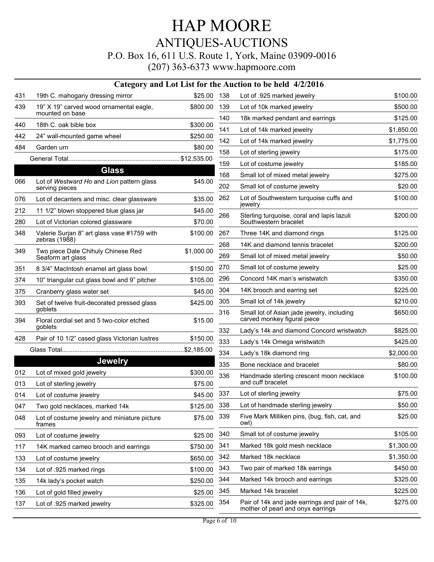### HAP MOORE ANTIQUES-AUCTIONS P.O. Box 16, 611 U.S. Route 1, York, Maine 03909-0016 (207) 363-6373 www.hapmoore.com

|     |                                                              |             |     | Category and Lot List for the Auction to be held 4/2/2016                           |            |
|-----|--------------------------------------------------------------|-------------|-----|-------------------------------------------------------------------------------------|------------|
| 431 | 19th C. mahogany dressing mirror                             | \$25.00     | 138 | Lot of .925 marked jewelry                                                          | \$100.00   |
| 439 | 19" X 19" carved wood ornamental eagle,<br>mounted on base   | \$800.00    | 139 | Lot of 10k marked jewelry                                                           | \$500.00   |
| 440 | 18th C. oak bible box                                        | \$300.00    | 140 | 18k marked pendant and earrings                                                     | \$125.00   |
|     |                                                              |             | 141 | Lot of 14k marked jewelry                                                           | \$1,850.00 |
| 442 | 24" wall-mounted game wheel                                  | \$250.00    | 142 | Lot of 14k marked jewelry                                                           | \$1,775.00 |
| 484 | Garden urn                                                   | \$80.00     | 158 | Lot of sterling jewelry                                                             | \$175.00   |
|     |                                                              |             | 159 | Lot of costume jewelry                                                              | \$185.00   |
|     | <b>Glass</b>                                                 |             | 168 | Small lot of mixed metal jewelry                                                    | \$275.00   |
| 066 | Lot of Westward Ho and Lion pattern glass<br>serving pieces  | \$45.00     | 202 | Small lot of costume jewelry                                                        | \$20.00    |
| 076 | Lot of decanters and misc. clear glassware                   | \$35.00     | 262 | Lot of Southwestern turquoise cuffs and<br>jewelry                                  | \$100.00   |
| 212 | 11 1/2" blown stoppered blue glass jar                       | \$45.00     | 266 | Sterling turquoise, coral and lapis lazuli                                          | \$200.00   |
| 280 | Lot of Victorian colored glassware                           | \$70.00     |     | Southwestern bracelet                                                               |            |
| 348 | Valerie Surjan 8" art glass vase #1759 with<br>zebras (1988) | \$100.00    | 267 | Three 14K and diamond rings                                                         | \$125.00   |
| 349 | Two piece Dale Chihuly Chinese Red                           |             | 268 | 14K and diamond tennis bracelet                                                     | \$200.00   |
|     | Seaform art glass                                            | \$1,000.00  | 269 | Small lot of mixed metal jewelry                                                    | \$50.00    |
| 351 | 8 3/4" MacIntosh enamel art glass bowl                       | \$150.00    | 270 | Small lot of costume jewelry                                                        | \$25.00    |
| 374 | 10" triangular cut glass bowl and 9" pitcher                 | \$105.00    | 296 | Concord 14K man's wristwatch                                                        | \$350.00   |
| 375 | Cranberry glass water set                                    | \$45.00     | 304 | 14K brooch and earring set                                                          | \$225.00   |
| 393 | Set of twelve fruit-decorated pressed glass                  | \$425.00    | 305 | Small lot of 14k jewelry                                                            | \$210.00   |
| 394 | goblets<br>Floral cordial set and 5 two-color etched         | \$15.00     | 316 | Small lot of Asian jade jewelry, including<br>carved monkey figural piece           | \$650.00   |
|     | goblets                                                      |             | 332 | Lady's 14k and diamond Concord wristwatch                                           | \$825.00   |
| 428 | Pair of 10 1/2" cased glass Victorian lustres                | \$150.00    | 333 | Lady's 14k Omega wristwatch                                                         | \$425.00   |
|     |                                                              |             | 334 | Lady's 18k diamond ring                                                             | \$2,000.00 |
|     | <b>Jewelry</b>                                               |             | 335 | Bone necklace and bracelet                                                          | \$80.00    |
| 012 | Lot of mixed gold jewelry                                    | \$300.00    | 336 | Handmade sterling crescent moon necklace                                            | \$100.00   |
| 013 | Lot of sterling jewelry                                      | \$75.00     |     | and cuff bracelet                                                                   |            |
| 014 | Lot of costume jewelry                                       | \$45.00 337 |     | Lot of sterling jewelry                                                             | \$75.00    |
| 047 | Two gold necklaces, marked 14k                               | \$125.00    | 338 | Lot of handmade sterling jewelry                                                    | \$50.00    |
| 048 | Lot of costume jewelry and miniature picture<br>frames       | \$75.00     | 339 | Five Mark Milliken pins, (bug, fish, cat, and<br>owl)                               | \$25.00    |
| 093 | Lot of costume jewelry                                       | \$25.00     | 340 | Small lot of costume jewelry                                                        | \$105.00   |
| 117 | 14K marked cameo brooch and earrings                         | \$750.00    | 341 | Marked 18k gold mesh necklace                                                       | \$1,300.00 |
| 133 | Lot of costume jewelry                                       | \$650.00    | 342 | Marked 18k necklace                                                                 | \$1,350.00 |
| 134 | Lot of .925 marked rings                                     | \$100.00    | 343 | Two pair of marked 18k earrings                                                     | \$450.00   |
| 135 | 14k lady's pocket watch                                      | \$250.00    | 344 | Marked 14k brooch and earrings                                                      | \$325.00   |
| 136 | Lot of gold filled jewelry                                   | \$25.00     | 345 | Marked 14k bracelet                                                                 | \$225.00   |
| 137 | Lot of .925 marked jewelry                                   | \$325.00    | 354 | Pair of 14k and jade earrings and pair of 14k,<br>mother of pearl and onyx earrings | \$275.00   |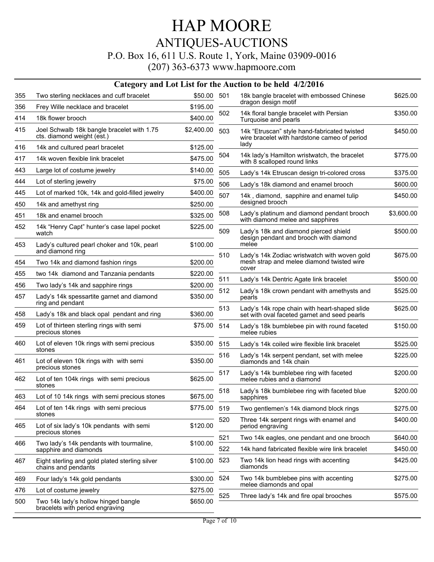### HAP MOORE ANTIQUES-AUCTIONS P.O. Box 16, 611 U.S. Route 1, York, Maine 03909-0016

|     |                                                                          |              |     | Category and Lot List for the Auction to be held 4/2/2016                                     |            |
|-----|--------------------------------------------------------------------------|--------------|-----|-----------------------------------------------------------------------------------------------|------------|
| 355 | Two sterling necklaces and cuff bracelet                                 | \$50.00 501  |     | 18k bangle bracelet with embossed Chinese                                                     | \$625.00   |
| 356 | Frey Wille necklace and bracelet                                         | \$195.00     |     | dragon design motif                                                                           |            |
| 414 | 18k flower brooch                                                        | \$400.00     | 502 | 14k floral bangle bracelet with Persian<br>Turquoise and pearls                               | \$350.00   |
| 415 | Joel Schwalb 18k bangle bracelet with 1.75<br>cts. diamond weight (est.) | \$2,400.00   | 503 | 14k "Etruscan" style hand-fabricated twisted<br>wire bracelet with hardstone cameo of period  | \$450.00   |
| 416 | 14k and cultured pearl bracelet                                          | \$125.00     |     | lady                                                                                          |            |
| 417 | 14k woven flexible link bracelet                                         | \$475.00     | 504 | 14k lady's Hamilton wristwatch, the bracelet<br>with 8 scalloped round links                  | \$775.00   |
| 443 | Large lot of costume jewelry                                             | \$140.00     | 505 | Lady's 14k Etruscan design tri-colored cross                                                  | \$375.00   |
| 444 | Lot of sterling jewelry                                                  | \$75.00      | 506 | Lady's 18k diamond and enamel brooch                                                          | \$600.00   |
| 445 | Lot of marked 10k, 14k and gold-filled jewelry                           | \$400.00     | 507 | 14k, diamond, sapphire and enamel tulip                                                       | \$450.00   |
| 450 | 14k and amethyst ring                                                    | \$250.00     |     | designed brooch                                                                               |            |
| 451 | 18k and enamel brooch                                                    | \$325.00     | 508 | Lady's platinum and diamond pendant brooch<br>with diamond melee and sapphires                | \$3,600.00 |
| 452 | 14k "Henry Capt" hunter's case lapel pocket<br>watch                     | \$225.00     | 509 | Lady's 18k and diamond pierced shield<br>design pendant and brooch with diamond               | \$500.00   |
| 453 | Lady's cultured pearl choker and 10k, pearl<br>and diamond ring          | \$100.00     | 510 | melee<br>Lady's 14k Zodiac wristwatch with woven gold                                         | \$675.00   |
| 454 | Two 14k and diamond fashion rings                                        | \$200.00     |     | mesh strap and melee diamond twisted wire                                                     |            |
| 455 | two 14k diamond and Tanzania pendants                                    | \$220.00     |     | cover                                                                                         |            |
| 456 | Two lady's 14k and sapphire rings                                        | \$200.00     | 511 | Lady's 14k Dentric Agate link bracelet                                                        | \$500.00   |
| 457 | Lady's 14k spessartite garnet and diamond<br>ring and pendant            | \$350.00     | 512 | Lady's 18k crown pendant with amethysts and<br>pearls                                         | \$525.00   |
| 458 | Lady's 18k and black opal pendant and ring                               | \$360.00     | 513 | Lady's 14k rope chain with heart-shaped slide<br>set with oval faceted garnet and seed pearls | \$625.00   |
| 459 | Lot of thirteen sterling rings with semi<br>precious stones              | \$75.00      | 514 | Lady's 18k bumblebee pin with round faceted<br>melee rubies                                   | \$150.00   |
| 460 | Lot of eleven 10k rings with semi precious                               | \$350.00     | 515 | Lady's 14k coiled wire flexible link bracelet                                                 | \$525.00   |
| 461 | stones<br>Lot of eleven 10k rings with with semi                         | \$350.00     | 516 | Lady's 14k serpent pendant, set with melee<br>diamonds and 14k chain                          | \$225.00   |
| 462 | precious stones<br>Lot of ten 104k rings with semi precious              | \$625.00     | 517 | Lady's 14k bumblebee ring with faceted<br>melee rubies and a diamond                          | \$200.00   |
|     | stones                                                                   |              | 518 | Lady's 18k bumblebee ring with faceted blue                                                   | \$200.00   |
| 463 | Lot of 10 14k rings with semi precious stones                            | \$675.00     |     | sapphires                                                                                     |            |
| 464 | Lot of ten 14k rings with semi precious<br>stones                        | \$775.00 519 |     | Two gentlemen's 14k diamond block rings                                                       | \$275.00   |
| 465 | Lot of six lady's 10k pendants with semi<br>precious stones              | \$120.00     | 520 | Three 14k serpent rings with enamel and<br>period engraving                                   | \$400.00   |
| 466 | Two lady's 14k pendants with tourmaline,                                 | \$100.00     | 521 | Two 14k eagles, one pendant and one brooch                                                    | \$640.00   |
|     | sapphire and diamonds                                                    |              | 522 | 14k hand fabricated flexible wire link bracelet                                               | \$450.00   |
| 467 | Eight sterling and gold plated sterling silver<br>chains and pendants    | \$100.00     | 523 | Two 14k lion head rings with accenting<br>diamonds                                            | \$425.00   |
| 469 | Four lady's 14k gold pendants                                            | \$300.00     | 524 | Two 14k bumblebee pins with accenting<br>melee diamonds and opal                              | \$275.00   |
| 476 | Lot of costume jewelry                                                   | \$275.00     | 525 | Three lady's 14k and fire opal brooches                                                       | \$575.00   |
| 500 | Two 14k lady's hollow hinged bangle<br>bracelets with period engraving   | \$650.00     |     |                                                                                               |            |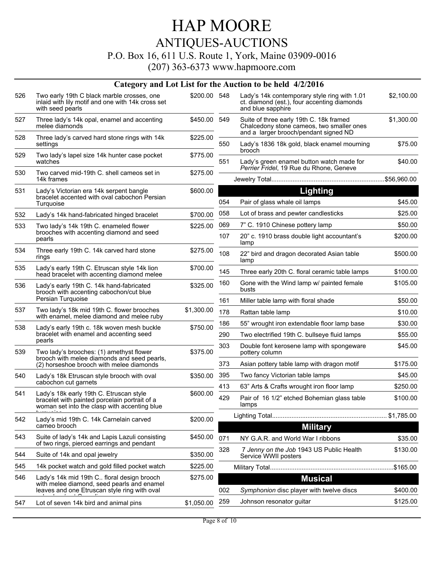#### P.O. Box 16, 611 U.S. Route 1, York, Maine 03909-0016

|     |                                                                                                                                          |              |     | Category and Lot List for the Auction to be held 4/2/2016                                                                     |            |
|-----|------------------------------------------------------------------------------------------------------------------------------------------|--------------|-----|-------------------------------------------------------------------------------------------------------------------------------|------------|
| 526 | Two early 19th C black marble crosses, one<br>inlaid with lily motif and one with 14k cross set<br>with seed pearls                      | \$200.00 548 |     | Lady's 14k contemporary style ring with 1.01<br>ct. diamond (est.), four accenting diamonds<br>and blue sapphire              | \$2,100.00 |
| 527 | Three lady's 14k opal, enamel and accenting<br>melee diamonds                                                                            | \$450.00 549 |     | Suite of three early 19th C. 18k framed<br>Chalcedony stone cameos, two smaller ones<br>and a larger brooch/pendant signed ND | \$1,300.00 |
| 528 | Three lady's carved hard stone rings with 14k<br>settings                                                                                | \$225.00     | 550 | Lady's 1836 18k gold, black enamel mourning<br>brooch                                                                         | \$75.00    |
| 529 | Two lady's lapel size 14k hunter case pocket<br>watches                                                                                  | \$775.00     | 551 | Lady's green enamel button watch made for<br>Perrier Fridel, 19 Rue du Rhone, Geneve                                          | \$40.00    |
| 530 | Two carved mid-19th C. shell cameos set in<br>14k frames                                                                                 | \$275.00     |     |                                                                                                                               |            |
| 531 | Lady's Victorian era 14k serpent bangle                                                                                                  | \$600.00     |     | Lighting                                                                                                                      |            |
|     | bracelet accented with oval cabochon Persian<br>Turquoise                                                                                |              | 054 | Pair of glass whale oil lamps                                                                                                 | \$45.00    |
| 532 | Lady's 14k hand-fabricated hinged bracelet                                                                                               | \$700.00     | 058 | Lot of brass and pewter candlesticks                                                                                          | \$25.00    |
| 533 | Two lady's 14k 19th C. enameled flower                                                                                                   | \$225.00     | 069 | 7" C. 1910 Chinese pottery lamp                                                                                               | \$50.00    |
|     | brooches with accenting diamond and seed<br>pearls                                                                                       |              | 107 | 20" c. 1910 brass double light accountant's<br>lamp                                                                           | \$200.00   |
| 534 | Three early 19th C. 14k carved hard stone<br>rings                                                                                       | \$275.00     | 108 | 22" bird and dragon decorated Asian table<br>lamp                                                                             | \$500.00   |
| 535 | Lady's early 19th C. Etruscan style 14k lion<br>head bracelet with accenting diamond melee                                               | \$700.00     | 145 | Three early 20th C. floral ceramic table lamps                                                                                | \$100.00   |
| 536 | Lady's early 19th C. 14k hand-fabricated<br>brooch with accenting cabochon/cut blue                                                      | \$325.00     | 160 | Gone with the Wind lamp w/ painted female<br>busts                                                                            | \$105.00   |
|     | Persian Turquoise                                                                                                                        |              | 161 | Miller table lamp with floral shade                                                                                           | \$50.00    |
| 537 | Two lady's 18k mid 19th C. flower brooches<br>with enamel, melee diamond and melee ruby                                                  | \$1,300.00   | 178 | Rattan table lamp                                                                                                             | \$10.00    |
| 538 |                                                                                                                                          | \$750.00     | 186 | 55" wrought iron extendable floor lamp base                                                                                   | \$30.00    |
|     | Lady's early 19th c. 18k woven mesh buckle<br>bracelet with enamel and accenting seed                                                    |              | 290 | Two electrified 19th C. bullseye fluid lamps                                                                                  | \$55.00    |
| 539 | pearls<br>Two lady's brooches: (1) amethyst flower                                                                                       | \$375.00     | 303 | Double font kerosene lamp with spongeware<br>pottery column                                                                   | \$45.00    |
|     | brooch with melee diamonds and seed pearls,<br>(2) horseshoe brooch with melee diamonds                                                  |              | 373 | Asian pottery table lamp with dragon motif                                                                                    | \$175.00   |
| 540 | Lady's 18k Etruscan style brooch with oval                                                                                               | \$350.00     | 395 | Two fancy Victorian table lamps                                                                                               | \$45.00    |
|     | cabochon cut garnets                                                                                                                     |              | 413 | 63" Arts & Crafts wrought iron floor lamp                                                                                     | \$250.00   |
| 541 | Lady's 18k early 19th C. Etruscan style<br>bracelet with painted porcelain portrait of a<br>woman set into the clasp with accenting blue | \$600.00     | 429 | Pair of 16 1/2" etched Bohemian glass table<br>lamps                                                                          | \$100.00   |
| 542 | Lady's mid 19th C. 14k Carnelain carved<br>cameo brooch                                                                                  | \$200.00     |     | <b>Military</b>                                                                                                               |            |
| 543 | Suite of lady's 14k and Lapis Lazuli consisting<br>of two rings, pierced earrings and pendant                                            | \$450.00     | 071 | NY G.A.R. and World War I ribbons                                                                                             | \$35.00    |
| 544 | Suite of 14k and opal jewelry                                                                                                            | \$350.00     | 328 | 7 Jenny on the Job 1943 US Public Health<br>Service WWII posters                                                              | \$130.00   |
| 545 | 14k pocket watch and gold filled pocket watch                                                                                            | \$225.00     |     |                                                                                                                               |            |
| 546 | Lady's 14k mid 19th C floral design brooch                                                                                               | \$275.00     |     | <b>Musical</b>                                                                                                                |            |
|     | with melee diamond, seed pearls and enamel<br>leaves and one Etruscan style ring with oval                                               |              | 002 | Symphonion disc player with twelve discs                                                                                      | \$400.00   |
| 547 | Lot of seven 14k bird and animal pins                                                                                                    | \$1,050.00   | 259 | Johnson resonator guitar                                                                                                      | \$125.00   |
|     |                                                                                                                                          |              |     |                                                                                                                               |            |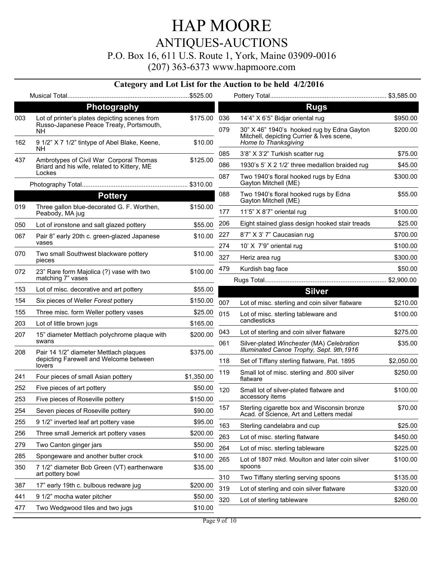P.O. Box 16, 611 U.S. Route 1, York, Maine 03909-0016

| Photography<br><b>Rugs</b><br>Lot of printer's plates depicting scenes from<br>\$175.00<br>14'4" X 6'5" Bidjar oriental rug<br>003<br>036<br>Russo-Japanese Peace Treaty, Portsmouth,<br>30" X 46" 1940's hooked rug by Edna Gayton<br>079<br>NH.<br>Mitchell, depicting Currier & Ives scene,<br>Home to Thanksgiving<br>162<br>9 1/2" X 7 1/2" tintype of Abel Blake, Keene,<br>\$10.00<br>NH.<br>3'8" X 3'2" Turkish scatter rug<br>085<br>\$125.00<br>437<br>Ambrotypes of Civil War Corporal Thomas<br>086<br>1930's 5' X 2 1/2' three medallion braided rug<br>Briard and his wife, related to Kittery, ME<br>Lockes<br>087<br>Two 1940's floral hooked rugs by Edna<br>\$300.00<br>Gayton Mitchell (ME)<br>088<br><b>Pottery</b><br>Two 1940's floral hooked rugs by Edna<br>Gayton Mitchell (ME)<br>019<br>Three gallon blue-decorated G. F. Worthen,<br>\$150.00<br>177<br>11'5" X 8'7" oriental rug<br>Peabody, MA jug<br>Eight stained glass design hooked stair treads<br>206<br>\$55.00<br>050<br>Lot of ironstone and salt glazed pottery<br>227<br>8'7" X 3' 7" Caucasian rug<br>067<br>\$10.00<br>Pair 8" early 20th c. green-glazed Japanese<br>vases<br>10' X 7'9" oriental rug<br>274<br>070<br>\$10.00<br>Two small Southwest blackware pottery<br>327<br>Heriz area rug<br>pieces<br>479<br>Kurdish bag face<br>\$100.00<br>072<br>23" Rare form Majolica (?) vase with two<br>matching 7" vases<br>\$55.00<br>153<br>Lot of misc. decorative and art pottery<br><b>Silver</b><br>154<br>Six pieces of Weller Forest pottery<br>\$150.00<br>007<br>Lot of misc. sterling and coin silver flatware<br>155<br>Three misc. form Weller pottery vases<br>\$25.00<br>015<br>Lot of misc. sterling tableware and<br>candlesticks<br>203<br>\$165.00<br>Lot of little brown jugs<br>\$275.00<br>043<br>Lot of sterling and coin silver flatware<br>\$200.00<br>207<br>15" diameter Mettlach polychrome plaque with<br>swans<br>061<br>\$35.00<br>Silver-plated Winchester (MA) Celebration<br>Illuminated Canoe Trophy, Sept. 9th, 1916<br>\$375.00<br>208<br>Pair 14 1/2" diameter Mettlach plaques<br>depicting Farewell and Welcome between<br>118<br>Set of Tiffany sterling flatware, Pat. 1895<br>lovers<br>Small lot of misc. sterling and .800 silver<br>119<br>\$1,350.00<br>241<br>Four pieces of small Asian pottery<br>flatware<br>252<br>Five pieces of art pottery<br>\$50.00<br>120<br>\$100.00<br>Small lot of silver-plated flatware and<br>accessory items<br>253<br>Five pieces of Roseville pottery<br>\$150.00<br>157<br>Sterling cigarette box and Wisconsin bronze<br>254<br>\$90.00<br>Seven pieces of Roseville pottery<br>Acad. of Science, Art and Letters medal<br>255<br>9 1/2" inverted leaf art pottery vase<br>\$95.00<br>163<br>\$25.00<br>Sterling candelabra and cup<br>256<br>Three small Jemerick art pottery vases<br>\$200.00<br>263<br>Lot of misc. sterling flatware<br>\$450.00<br>279<br>Two Canton ginger jars<br>\$50.00<br>264<br>Lot of misc. sterling tableware<br>\$225.00<br>285<br>Spongeware and another butter crock<br>\$10.00<br>265<br>Lot of 1807 mkd. Moulton and later coin silver<br>\$100.00<br>spoons<br>350<br>7 1/2" diameter Bob Green (VT) earthenware<br>\$35.00<br>art pottery bowl<br>310<br>Two Tiffany sterling serving spoons<br>387<br>17" early 19th c. bulbous redware jug<br>\$200.00<br>319<br>Lot of sterling and coin silver flatware<br>441<br>9 1/2" mocha water pitcher<br>\$50.00<br>320<br>Lot of sterling tableware<br>Two Wedgwood tiles and two jugs<br>477<br>\$10.00 |  |  |  | Category and Lot List for the Auction to be held 4/2/2016 |            |
|-----------------------------------------------------------------------------------------------------------------------------------------------------------------------------------------------------------------------------------------------------------------------------------------------------------------------------------------------------------------------------------------------------------------------------------------------------------------------------------------------------------------------------------------------------------------------------------------------------------------------------------------------------------------------------------------------------------------------------------------------------------------------------------------------------------------------------------------------------------------------------------------------------------------------------------------------------------------------------------------------------------------------------------------------------------------------------------------------------------------------------------------------------------------------------------------------------------------------------------------------------------------------------------------------------------------------------------------------------------------------------------------------------------------------------------------------------------------------------------------------------------------------------------------------------------------------------------------------------------------------------------------------------------------------------------------------------------------------------------------------------------------------------------------------------------------------------------------------------------------------------------------------------------------------------------------------------------------------------------------------------------------------------------------------------------------------------------------------------------------------------------------------------------------------------------------------------------------------------------------------------------------------------------------------------------------------------------------------------------------------------------------------------------------------------------------------------------------------------------------------------------------------------------------------------------------------------------------------------------------------------------------------------------------------------------------------------------------------------------------------------------------------------------------------------------------------------------------------------------------------------------------------------------------------------------------------------------------------------------------------------------------------------------------------------------------------------------------------------------------------------------------------------------------------------------------------------------------------------------------------------------------------------------------------------------------------------------------------------------------------------------------------------------------------------------------------------------------------------------------------------------------------------------------------------------------------------|--|--|--|-----------------------------------------------------------|------------|
|                                                                                                                                                                                                                                                                                                                                                                                                                                                                                                                                                                                                                                                                                                                                                                                                                                                                                                                                                                                                                                                                                                                                                                                                                                                                                                                                                                                                                                                                                                                                                                                                                                                                                                                                                                                                                                                                                                                                                                                                                                                                                                                                                                                                                                                                                                                                                                                                                                                                                                                                                                                                                                                                                                                                                                                                                                                                                                                                                                                                                                                                                                                                                                                                                                                                                                                                                                                                                                                                                                                                                                             |  |  |  |                                                           |            |
|                                                                                                                                                                                                                                                                                                                                                                                                                                                                                                                                                                                                                                                                                                                                                                                                                                                                                                                                                                                                                                                                                                                                                                                                                                                                                                                                                                                                                                                                                                                                                                                                                                                                                                                                                                                                                                                                                                                                                                                                                                                                                                                                                                                                                                                                                                                                                                                                                                                                                                                                                                                                                                                                                                                                                                                                                                                                                                                                                                                                                                                                                                                                                                                                                                                                                                                                                                                                                                                                                                                                                                             |  |  |  |                                                           |            |
|                                                                                                                                                                                                                                                                                                                                                                                                                                                                                                                                                                                                                                                                                                                                                                                                                                                                                                                                                                                                                                                                                                                                                                                                                                                                                                                                                                                                                                                                                                                                                                                                                                                                                                                                                                                                                                                                                                                                                                                                                                                                                                                                                                                                                                                                                                                                                                                                                                                                                                                                                                                                                                                                                                                                                                                                                                                                                                                                                                                                                                                                                                                                                                                                                                                                                                                                                                                                                                                                                                                                                                             |  |  |  |                                                           | \$950.00   |
|                                                                                                                                                                                                                                                                                                                                                                                                                                                                                                                                                                                                                                                                                                                                                                                                                                                                                                                                                                                                                                                                                                                                                                                                                                                                                                                                                                                                                                                                                                                                                                                                                                                                                                                                                                                                                                                                                                                                                                                                                                                                                                                                                                                                                                                                                                                                                                                                                                                                                                                                                                                                                                                                                                                                                                                                                                                                                                                                                                                                                                                                                                                                                                                                                                                                                                                                                                                                                                                                                                                                                                             |  |  |  |                                                           | \$200.00   |
|                                                                                                                                                                                                                                                                                                                                                                                                                                                                                                                                                                                                                                                                                                                                                                                                                                                                                                                                                                                                                                                                                                                                                                                                                                                                                                                                                                                                                                                                                                                                                                                                                                                                                                                                                                                                                                                                                                                                                                                                                                                                                                                                                                                                                                                                                                                                                                                                                                                                                                                                                                                                                                                                                                                                                                                                                                                                                                                                                                                                                                                                                                                                                                                                                                                                                                                                                                                                                                                                                                                                                                             |  |  |  |                                                           |            |
|                                                                                                                                                                                                                                                                                                                                                                                                                                                                                                                                                                                                                                                                                                                                                                                                                                                                                                                                                                                                                                                                                                                                                                                                                                                                                                                                                                                                                                                                                                                                                                                                                                                                                                                                                                                                                                                                                                                                                                                                                                                                                                                                                                                                                                                                                                                                                                                                                                                                                                                                                                                                                                                                                                                                                                                                                                                                                                                                                                                                                                                                                                                                                                                                                                                                                                                                                                                                                                                                                                                                                                             |  |  |  |                                                           | \$75.00    |
|                                                                                                                                                                                                                                                                                                                                                                                                                                                                                                                                                                                                                                                                                                                                                                                                                                                                                                                                                                                                                                                                                                                                                                                                                                                                                                                                                                                                                                                                                                                                                                                                                                                                                                                                                                                                                                                                                                                                                                                                                                                                                                                                                                                                                                                                                                                                                                                                                                                                                                                                                                                                                                                                                                                                                                                                                                                                                                                                                                                                                                                                                                                                                                                                                                                                                                                                                                                                                                                                                                                                                                             |  |  |  |                                                           | \$45.00    |
|                                                                                                                                                                                                                                                                                                                                                                                                                                                                                                                                                                                                                                                                                                                                                                                                                                                                                                                                                                                                                                                                                                                                                                                                                                                                                                                                                                                                                                                                                                                                                                                                                                                                                                                                                                                                                                                                                                                                                                                                                                                                                                                                                                                                                                                                                                                                                                                                                                                                                                                                                                                                                                                                                                                                                                                                                                                                                                                                                                                                                                                                                                                                                                                                                                                                                                                                                                                                                                                                                                                                                                             |  |  |  |                                                           |            |
|                                                                                                                                                                                                                                                                                                                                                                                                                                                                                                                                                                                                                                                                                                                                                                                                                                                                                                                                                                                                                                                                                                                                                                                                                                                                                                                                                                                                                                                                                                                                                                                                                                                                                                                                                                                                                                                                                                                                                                                                                                                                                                                                                                                                                                                                                                                                                                                                                                                                                                                                                                                                                                                                                                                                                                                                                                                                                                                                                                                                                                                                                                                                                                                                                                                                                                                                                                                                                                                                                                                                                                             |  |  |  |                                                           | \$55.00    |
|                                                                                                                                                                                                                                                                                                                                                                                                                                                                                                                                                                                                                                                                                                                                                                                                                                                                                                                                                                                                                                                                                                                                                                                                                                                                                                                                                                                                                                                                                                                                                                                                                                                                                                                                                                                                                                                                                                                                                                                                                                                                                                                                                                                                                                                                                                                                                                                                                                                                                                                                                                                                                                                                                                                                                                                                                                                                                                                                                                                                                                                                                                                                                                                                                                                                                                                                                                                                                                                                                                                                                                             |  |  |  |                                                           | \$100.00   |
|                                                                                                                                                                                                                                                                                                                                                                                                                                                                                                                                                                                                                                                                                                                                                                                                                                                                                                                                                                                                                                                                                                                                                                                                                                                                                                                                                                                                                                                                                                                                                                                                                                                                                                                                                                                                                                                                                                                                                                                                                                                                                                                                                                                                                                                                                                                                                                                                                                                                                                                                                                                                                                                                                                                                                                                                                                                                                                                                                                                                                                                                                                                                                                                                                                                                                                                                                                                                                                                                                                                                                                             |  |  |  |                                                           | \$25.00    |
|                                                                                                                                                                                                                                                                                                                                                                                                                                                                                                                                                                                                                                                                                                                                                                                                                                                                                                                                                                                                                                                                                                                                                                                                                                                                                                                                                                                                                                                                                                                                                                                                                                                                                                                                                                                                                                                                                                                                                                                                                                                                                                                                                                                                                                                                                                                                                                                                                                                                                                                                                                                                                                                                                                                                                                                                                                                                                                                                                                                                                                                                                                                                                                                                                                                                                                                                                                                                                                                                                                                                                                             |  |  |  |                                                           | \$700.00   |
|                                                                                                                                                                                                                                                                                                                                                                                                                                                                                                                                                                                                                                                                                                                                                                                                                                                                                                                                                                                                                                                                                                                                                                                                                                                                                                                                                                                                                                                                                                                                                                                                                                                                                                                                                                                                                                                                                                                                                                                                                                                                                                                                                                                                                                                                                                                                                                                                                                                                                                                                                                                                                                                                                                                                                                                                                                                                                                                                                                                                                                                                                                                                                                                                                                                                                                                                                                                                                                                                                                                                                                             |  |  |  |                                                           | \$100.00   |
|                                                                                                                                                                                                                                                                                                                                                                                                                                                                                                                                                                                                                                                                                                                                                                                                                                                                                                                                                                                                                                                                                                                                                                                                                                                                                                                                                                                                                                                                                                                                                                                                                                                                                                                                                                                                                                                                                                                                                                                                                                                                                                                                                                                                                                                                                                                                                                                                                                                                                                                                                                                                                                                                                                                                                                                                                                                                                                                                                                                                                                                                                                                                                                                                                                                                                                                                                                                                                                                                                                                                                                             |  |  |  |                                                           | \$300.00   |
|                                                                                                                                                                                                                                                                                                                                                                                                                                                                                                                                                                                                                                                                                                                                                                                                                                                                                                                                                                                                                                                                                                                                                                                                                                                                                                                                                                                                                                                                                                                                                                                                                                                                                                                                                                                                                                                                                                                                                                                                                                                                                                                                                                                                                                                                                                                                                                                                                                                                                                                                                                                                                                                                                                                                                                                                                                                                                                                                                                                                                                                                                                                                                                                                                                                                                                                                                                                                                                                                                                                                                                             |  |  |  |                                                           | \$50.00    |
|                                                                                                                                                                                                                                                                                                                                                                                                                                                                                                                                                                                                                                                                                                                                                                                                                                                                                                                                                                                                                                                                                                                                                                                                                                                                                                                                                                                                                                                                                                                                                                                                                                                                                                                                                                                                                                                                                                                                                                                                                                                                                                                                                                                                                                                                                                                                                                                                                                                                                                                                                                                                                                                                                                                                                                                                                                                                                                                                                                                                                                                                                                                                                                                                                                                                                                                                                                                                                                                                                                                                                                             |  |  |  |                                                           |            |
|                                                                                                                                                                                                                                                                                                                                                                                                                                                                                                                                                                                                                                                                                                                                                                                                                                                                                                                                                                                                                                                                                                                                                                                                                                                                                                                                                                                                                                                                                                                                                                                                                                                                                                                                                                                                                                                                                                                                                                                                                                                                                                                                                                                                                                                                                                                                                                                                                                                                                                                                                                                                                                                                                                                                                                                                                                                                                                                                                                                                                                                                                                                                                                                                                                                                                                                                                                                                                                                                                                                                                                             |  |  |  |                                                           |            |
|                                                                                                                                                                                                                                                                                                                                                                                                                                                                                                                                                                                                                                                                                                                                                                                                                                                                                                                                                                                                                                                                                                                                                                                                                                                                                                                                                                                                                                                                                                                                                                                                                                                                                                                                                                                                                                                                                                                                                                                                                                                                                                                                                                                                                                                                                                                                                                                                                                                                                                                                                                                                                                                                                                                                                                                                                                                                                                                                                                                                                                                                                                                                                                                                                                                                                                                                                                                                                                                                                                                                                                             |  |  |  |                                                           | \$210.00   |
|                                                                                                                                                                                                                                                                                                                                                                                                                                                                                                                                                                                                                                                                                                                                                                                                                                                                                                                                                                                                                                                                                                                                                                                                                                                                                                                                                                                                                                                                                                                                                                                                                                                                                                                                                                                                                                                                                                                                                                                                                                                                                                                                                                                                                                                                                                                                                                                                                                                                                                                                                                                                                                                                                                                                                                                                                                                                                                                                                                                                                                                                                                                                                                                                                                                                                                                                                                                                                                                                                                                                                                             |  |  |  |                                                           | \$100.00   |
|                                                                                                                                                                                                                                                                                                                                                                                                                                                                                                                                                                                                                                                                                                                                                                                                                                                                                                                                                                                                                                                                                                                                                                                                                                                                                                                                                                                                                                                                                                                                                                                                                                                                                                                                                                                                                                                                                                                                                                                                                                                                                                                                                                                                                                                                                                                                                                                                                                                                                                                                                                                                                                                                                                                                                                                                                                                                                                                                                                                                                                                                                                                                                                                                                                                                                                                                                                                                                                                                                                                                                                             |  |  |  |                                                           |            |
|                                                                                                                                                                                                                                                                                                                                                                                                                                                                                                                                                                                                                                                                                                                                                                                                                                                                                                                                                                                                                                                                                                                                                                                                                                                                                                                                                                                                                                                                                                                                                                                                                                                                                                                                                                                                                                                                                                                                                                                                                                                                                                                                                                                                                                                                                                                                                                                                                                                                                                                                                                                                                                                                                                                                                                                                                                                                                                                                                                                                                                                                                                                                                                                                                                                                                                                                                                                                                                                                                                                                                                             |  |  |  |                                                           |            |
|                                                                                                                                                                                                                                                                                                                                                                                                                                                                                                                                                                                                                                                                                                                                                                                                                                                                                                                                                                                                                                                                                                                                                                                                                                                                                                                                                                                                                                                                                                                                                                                                                                                                                                                                                                                                                                                                                                                                                                                                                                                                                                                                                                                                                                                                                                                                                                                                                                                                                                                                                                                                                                                                                                                                                                                                                                                                                                                                                                                                                                                                                                                                                                                                                                                                                                                                                                                                                                                                                                                                                                             |  |  |  |                                                           |            |
|                                                                                                                                                                                                                                                                                                                                                                                                                                                                                                                                                                                                                                                                                                                                                                                                                                                                                                                                                                                                                                                                                                                                                                                                                                                                                                                                                                                                                                                                                                                                                                                                                                                                                                                                                                                                                                                                                                                                                                                                                                                                                                                                                                                                                                                                                                                                                                                                                                                                                                                                                                                                                                                                                                                                                                                                                                                                                                                                                                                                                                                                                                                                                                                                                                                                                                                                                                                                                                                                                                                                                                             |  |  |  |                                                           | \$2,050.00 |
|                                                                                                                                                                                                                                                                                                                                                                                                                                                                                                                                                                                                                                                                                                                                                                                                                                                                                                                                                                                                                                                                                                                                                                                                                                                                                                                                                                                                                                                                                                                                                                                                                                                                                                                                                                                                                                                                                                                                                                                                                                                                                                                                                                                                                                                                                                                                                                                                                                                                                                                                                                                                                                                                                                                                                                                                                                                                                                                                                                                                                                                                                                                                                                                                                                                                                                                                                                                                                                                                                                                                                                             |  |  |  |                                                           | \$250.00   |
|                                                                                                                                                                                                                                                                                                                                                                                                                                                                                                                                                                                                                                                                                                                                                                                                                                                                                                                                                                                                                                                                                                                                                                                                                                                                                                                                                                                                                                                                                                                                                                                                                                                                                                                                                                                                                                                                                                                                                                                                                                                                                                                                                                                                                                                                                                                                                                                                                                                                                                                                                                                                                                                                                                                                                                                                                                                                                                                                                                                                                                                                                                                                                                                                                                                                                                                                                                                                                                                                                                                                                                             |  |  |  |                                                           |            |
|                                                                                                                                                                                                                                                                                                                                                                                                                                                                                                                                                                                                                                                                                                                                                                                                                                                                                                                                                                                                                                                                                                                                                                                                                                                                                                                                                                                                                                                                                                                                                                                                                                                                                                                                                                                                                                                                                                                                                                                                                                                                                                                                                                                                                                                                                                                                                                                                                                                                                                                                                                                                                                                                                                                                                                                                                                                                                                                                                                                                                                                                                                                                                                                                                                                                                                                                                                                                                                                                                                                                                                             |  |  |  |                                                           |            |
|                                                                                                                                                                                                                                                                                                                                                                                                                                                                                                                                                                                                                                                                                                                                                                                                                                                                                                                                                                                                                                                                                                                                                                                                                                                                                                                                                                                                                                                                                                                                                                                                                                                                                                                                                                                                                                                                                                                                                                                                                                                                                                                                                                                                                                                                                                                                                                                                                                                                                                                                                                                                                                                                                                                                                                                                                                                                                                                                                                                                                                                                                                                                                                                                                                                                                                                                                                                                                                                                                                                                                                             |  |  |  |                                                           | \$70.00    |
|                                                                                                                                                                                                                                                                                                                                                                                                                                                                                                                                                                                                                                                                                                                                                                                                                                                                                                                                                                                                                                                                                                                                                                                                                                                                                                                                                                                                                                                                                                                                                                                                                                                                                                                                                                                                                                                                                                                                                                                                                                                                                                                                                                                                                                                                                                                                                                                                                                                                                                                                                                                                                                                                                                                                                                                                                                                                                                                                                                                                                                                                                                                                                                                                                                                                                                                                                                                                                                                                                                                                                                             |  |  |  |                                                           |            |
|                                                                                                                                                                                                                                                                                                                                                                                                                                                                                                                                                                                                                                                                                                                                                                                                                                                                                                                                                                                                                                                                                                                                                                                                                                                                                                                                                                                                                                                                                                                                                                                                                                                                                                                                                                                                                                                                                                                                                                                                                                                                                                                                                                                                                                                                                                                                                                                                                                                                                                                                                                                                                                                                                                                                                                                                                                                                                                                                                                                                                                                                                                                                                                                                                                                                                                                                                                                                                                                                                                                                                                             |  |  |  |                                                           |            |
|                                                                                                                                                                                                                                                                                                                                                                                                                                                                                                                                                                                                                                                                                                                                                                                                                                                                                                                                                                                                                                                                                                                                                                                                                                                                                                                                                                                                                                                                                                                                                                                                                                                                                                                                                                                                                                                                                                                                                                                                                                                                                                                                                                                                                                                                                                                                                                                                                                                                                                                                                                                                                                                                                                                                                                                                                                                                                                                                                                                                                                                                                                                                                                                                                                                                                                                                                                                                                                                                                                                                                                             |  |  |  |                                                           |            |
|                                                                                                                                                                                                                                                                                                                                                                                                                                                                                                                                                                                                                                                                                                                                                                                                                                                                                                                                                                                                                                                                                                                                                                                                                                                                                                                                                                                                                                                                                                                                                                                                                                                                                                                                                                                                                                                                                                                                                                                                                                                                                                                                                                                                                                                                                                                                                                                                                                                                                                                                                                                                                                                                                                                                                                                                                                                                                                                                                                                                                                                                                                                                                                                                                                                                                                                                                                                                                                                                                                                                                                             |  |  |  |                                                           |            |
|                                                                                                                                                                                                                                                                                                                                                                                                                                                                                                                                                                                                                                                                                                                                                                                                                                                                                                                                                                                                                                                                                                                                                                                                                                                                                                                                                                                                                                                                                                                                                                                                                                                                                                                                                                                                                                                                                                                                                                                                                                                                                                                                                                                                                                                                                                                                                                                                                                                                                                                                                                                                                                                                                                                                                                                                                                                                                                                                                                                                                                                                                                                                                                                                                                                                                                                                                                                                                                                                                                                                                                             |  |  |  |                                                           |            |
|                                                                                                                                                                                                                                                                                                                                                                                                                                                                                                                                                                                                                                                                                                                                                                                                                                                                                                                                                                                                                                                                                                                                                                                                                                                                                                                                                                                                                                                                                                                                                                                                                                                                                                                                                                                                                                                                                                                                                                                                                                                                                                                                                                                                                                                                                                                                                                                                                                                                                                                                                                                                                                                                                                                                                                                                                                                                                                                                                                                                                                                                                                                                                                                                                                                                                                                                                                                                                                                                                                                                                                             |  |  |  |                                                           | \$135.00   |
|                                                                                                                                                                                                                                                                                                                                                                                                                                                                                                                                                                                                                                                                                                                                                                                                                                                                                                                                                                                                                                                                                                                                                                                                                                                                                                                                                                                                                                                                                                                                                                                                                                                                                                                                                                                                                                                                                                                                                                                                                                                                                                                                                                                                                                                                                                                                                                                                                                                                                                                                                                                                                                                                                                                                                                                                                                                                                                                                                                                                                                                                                                                                                                                                                                                                                                                                                                                                                                                                                                                                                                             |  |  |  |                                                           | \$320.00   |
|                                                                                                                                                                                                                                                                                                                                                                                                                                                                                                                                                                                                                                                                                                                                                                                                                                                                                                                                                                                                                                                                                                                                                                                                                                                                                                                                                                                                                                                                                                                                                                                                                                                                                                                                                                                                                                                                                                                                                                                                                                                                                                                                                                                                                                                                                                                                                                                                                                                                                                                                                                                                                                                                                                                                                                                                                                                                                                                                                                                                                                                                                                                                                                                                                                                                                                                                                                                                                                                                                                                                                                             |  |  |  |                                                           | \$260.00   |
|                                                                                                                                                                                                                                                                                                                                                                                                                                                                                                                                                                                                                                                                                                                                                                                                                                                                                                                                                                                                                                                                                                                                                                                                                                                                                                                                                                                                                                                                                                                                                                                                                                                                                                                                                                                                                                                                                                                                                                                                                                                                                                                                                                                                                                                                                                                                                                                                                                                                                                                                                                                                                                                                                                                                                                                                                                                                                                                                                                                                                                                                                                                                                                                                                                                                                                                                                                                                                                                                                                                                                                             |  |  |  |                                                           |            |